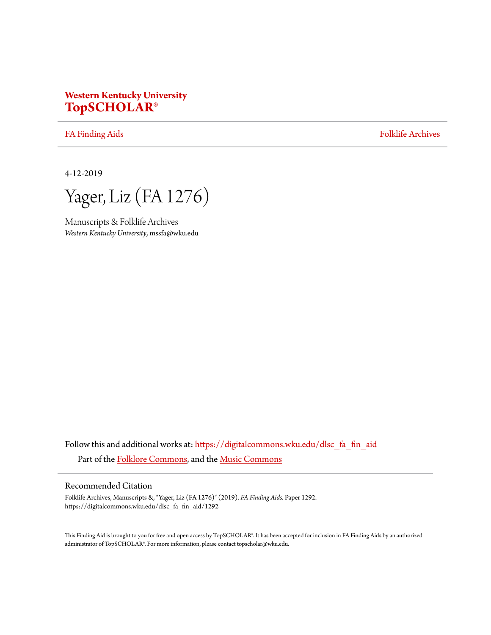# **Western Kentucky University [TopSCHOLAR®](https://digitalcommons.wku.edu?utm_source=digitalcommons.wku.edu%2Fdlsc_fa_fin_aid%2F1292&utm_medium=PDF&utm_campaign=PDFCoverPages)**

[FA Finding Aids](https://digitalcommons.wku.edu/dlsc_fa_fin_aid?utm_source=digitalcommons.wku.edu%2Fdlsc_fa_fin_aid%2F1292&utm_medium=PDF&utm_campaign=PDFCoverPages) [Folklife Archives](https://digitalcommons.wku.edu/dlsc_fa?utm_source=digitalcommons.wku.edu%2Fdlsc_fa_fin_aid%2F1292&utm_medium=PDF&utm_campaign=PDFCoverPages)

4-12-2019

Yager, Liz (FA 1276)

Manuscripts & Folklife Archives *Western Kentucky University*, mssfa@wku.edu

Follow this and additional works at: [https://digitalcommons.wku.edu/dlsc\\_fa\\_fin\\_aid](https://digitalcommons.wku.edu/dlsc_fa_fin_aid?utm_source=digitalcommons.wku.edu%2Fdlsc_fa_fin_aid%2F1292&utm_medium=PDF&utm_campaign=PDFCoverPages) Part of the [Folklore Commons](http://network.bepress.com/hgg/discipline/321?utm_source=digitalcommons.wku.edu%2Fdlsc_fa_fin_aid%2F1292&utm_medium=PDF&utm_campaign=PDFCoverPages), and the [Music Commons](http://network.bepress.com/hgg/discipline/518?utm_source=digitalcommons.wku.edu%2Fdlsc_fa_fin_aid%2F1292&utm_medium=PDF&utm_campaign=PDFCoverPages)

#### Recommended Citation

Folklife Archives, Manuscripts &, "Yager, Liz (FA 1276)" (2019). *FA Finding Aids.* Paper 1292. https://digitalcommons.wku.edu/dlsc\_fa\_fin\_aid/1292

This Finding Aid is brought to you for free and open access by TopSCHOLAR®. It has been accepted for inclusion in FA Finding Aids by an authorized administrator of TopSCHOLAR®. For more information, please contact topscholar@wku.edu.